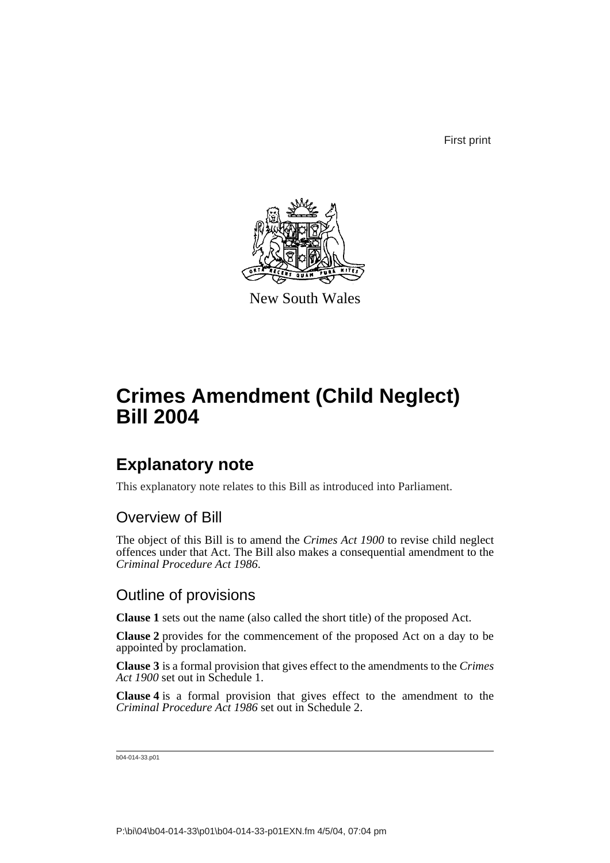First print



New South Wales

# **Crimes Amendment (Child Neglect) Bill 2004**

## **Explanatory note**

This explanatory note relates to this Bill as introduced into Parliament.

### Overview of Bill

The object of this Bill is to amend the *Crimes Act 1900* to revise child neglect offences under that Act. The Bill also makes a consequential amendment to the *Criminal Procedure Act 1986*.

### Outline of provisions

**Clause 1** sets out the name (also called the short title) of the proposed Act.

**Clause 2** provides for the commencement of the proposed Act on a day to be appointed by proclamation.

**Clause 3** is a formal provision that gives effect to the amendments to the *Crimes Act 1900* set out in Schedule 1.

**Clause 4** is a formal provision that gives effect to the amendment to the *Criminal Procedure Act 1986* set out in Schedule 2.

```
b04-014-33.p01
```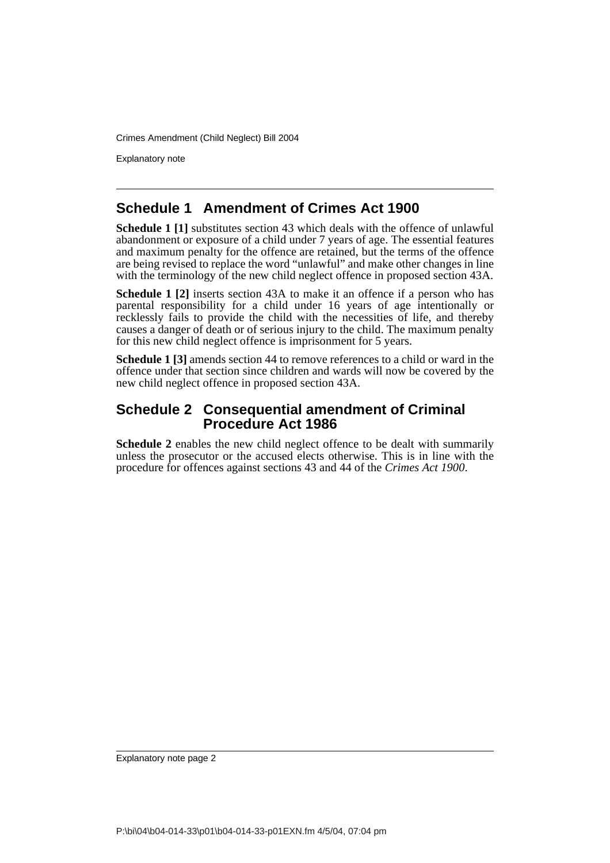Explanatory note

#### **Schedule 1 Amendment of Crimes Act 1900**

**Schedule 1 [1]** substitutes section 43 which deals with the offence of unlawful abandonment or exposure of a child under 7 years of age. The essential features and maximum penalty for the offence are retained, but the terms of the offence are being revised to replace the word "unlawful" and make other changes in line with the terminology of the new child neglect offence in proposed section 43A.

**Schedule 1 [2]** inserts section 43A to make it an offence if a person who has parental responsibility for a child under 16 years of age intentionally or recklessly fails to provide the child with the necessities of life, and thereby causes a danger of death or of serious injury to the child. The maximum penalty for this new child neglect offence is imprisonment for 5 years.

**Schedule 1 [3]** amends section 44 to remove references to a child or ward in the offence under that section since children and wards will now be covered by the new child neglect offence in proposed section 43A.

#### **Schedule 2 Consequential amendment of Criminal Procedure Act 1986**

**Schedule 2** enables the new child neglect offence to be dealt with summarily unless the prosecutor or the accused elects otherwise. This is in line with the procedure for offences against sections 43 and 44 of the *Crimes Act 1900*.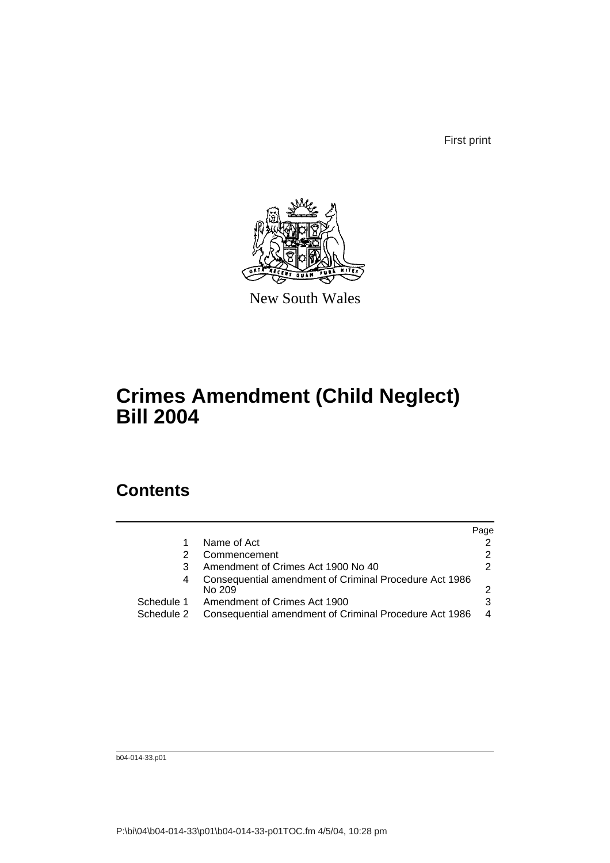First print



New South Wales

# **Crimes Amendment (Child Neglect) Bill 2004**

### **Contents**

|            |                                                                  | Page |
|------------|------------------------------------------------------------------|------|
|            | Name of Act                                                      |      |
|            | Commencement                                                     | 2    |
|            | Amendment of Crimes Act 1900 No 40                               | 2    |
| 4          | Consequential amendment of Criminal Procedure Act 1986<br>No 209 | 2    |
| Schedule 1 | Amendment of Crimes Act 1900                                     |      |
| Schedule 2 | Consequential amendment of Criminal Procedure Act 1986           | 4    |

b04-014-33.p01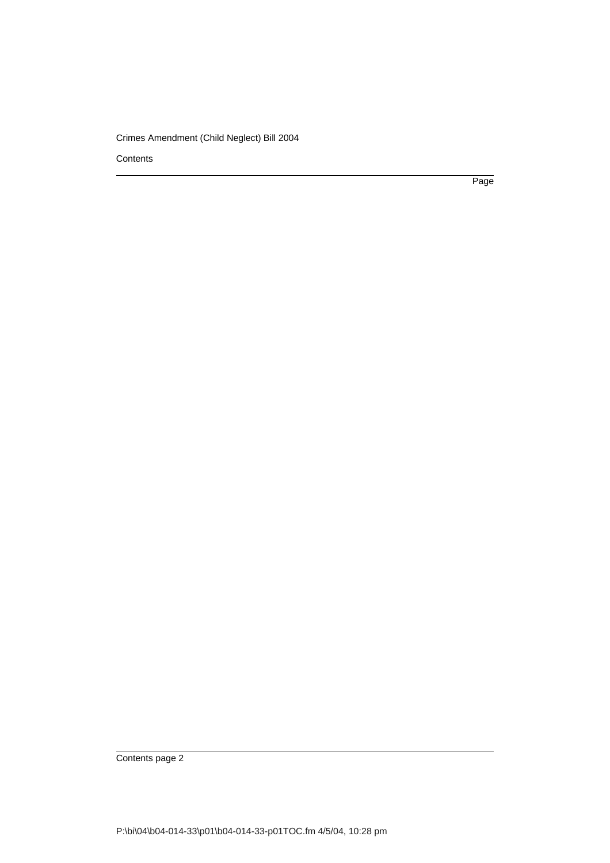**Contents** 

Page

Contents page 2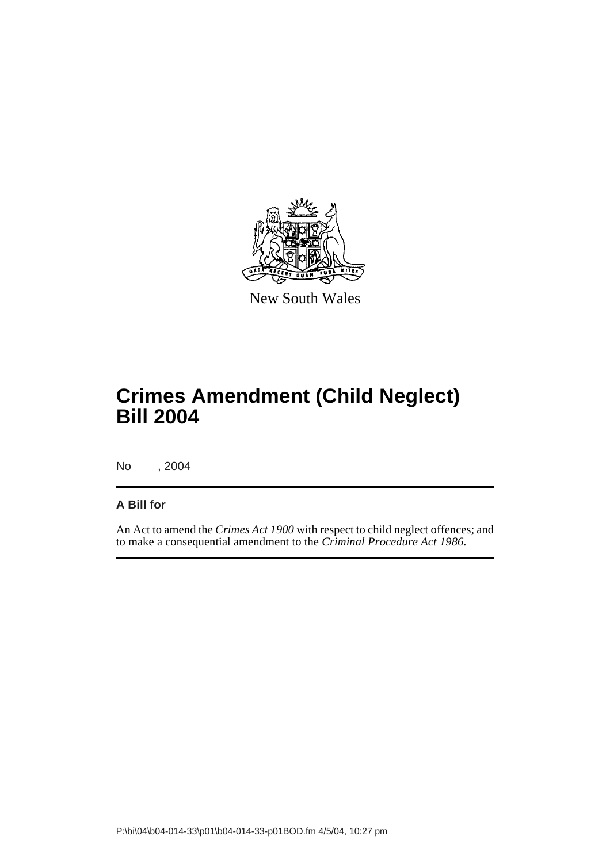

New South Wales

## **Crimes Amendment (Child Neglect) Bill 2004**

No , 2004

#### **A Bill for**

An Act to amend the *Crimes Act 1900* with respect to child neglect offences; and to make a consequential amendment to the *Criminal Procedure Act 1986*.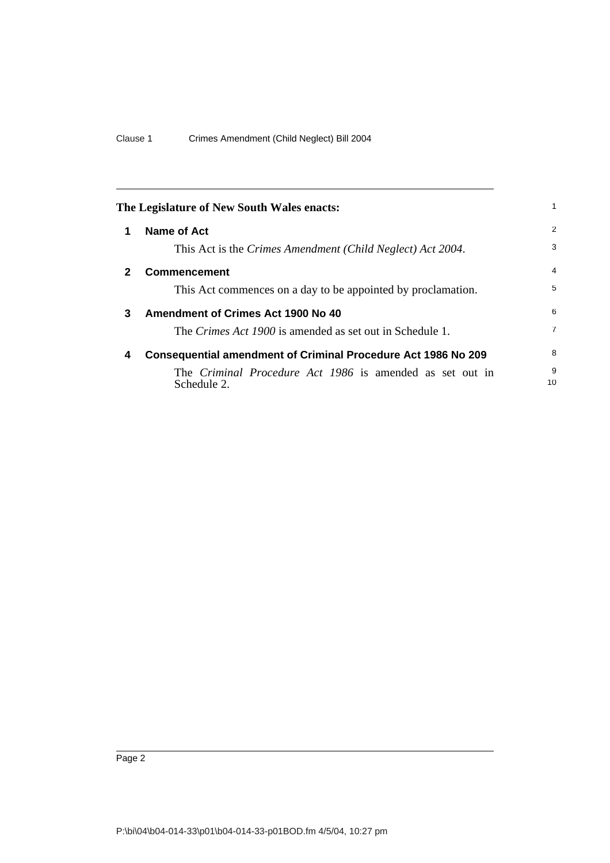<span id="page-5-3"></span><span id="page-5-2"></span><span id="page-5-1"></span><span id="page-5-0"></span>

|   | The Legislature of New South Wales enacts:                              |         |
|---|-------------------------------------------------------------------------|---------|
| 1 | Name of Act                                                             | 2       |
|   | This Act is the Crimes Amendment (Child Neglect) Act 2004.              | 3       |
| 2 | <b>Commencement</b>                                                     | 4       |
|   | This Act commences on a day to be appointed by proclamation.            | 5       |
| 3 | Amendment of Crimes Act 1900 No 40                                      | 6       |
|   | The <i>Crimes Act 1900</i> is amended as set out in Schedule 1.         | 7       |
| 4 | <b>Consequential amendment of Criminal Procedure Act 1986 No 209</b>    | 8       |
|   | The Criminal Procedure Act 1986 is amended as set out in<br>Schedule 2. | 9<br>10 |

Page 2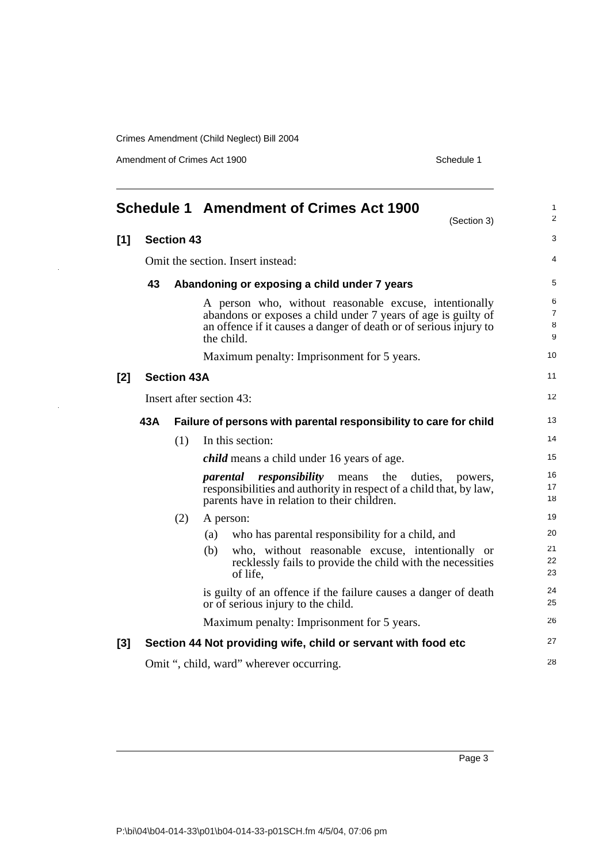Amendment of Crimes Act 1900 Schedule 1

 $\hat{\mathcal{A}}$ 

 $\hat{\mathcal{A}}$ 

<span id="page-6-0"></span>

|       |     |                    | <b>Schedule 1 Amendment of Crimes Act 1900</b><br>(Section 3)                                                                                                                                              | 1<br>$\overline{2}$           |
|-------|-----|--------------------|------------------------------------------------------------------------------------------------------------------------------------------------------------------------------------------------------------|-------------------------------|
| [1]   |     | <b>Section 43</b>  |                                                                                                                                                                                                            | 3                             |
|       |     |                    | Omit the section. Insert instead:                                                                                                                                                                          | 4                             |
|       | 43  |                    | Abandoning or exposing a child under 7 years                                                                                                                                                               | 5                             |
|       |     |                    | A person who, without reasonable excuse, intentionally<br>abandons or exposes a child under 7 years of age is guilty of<br>an offence if it causes a danger of death or of serious injury to<br>the child. | 6<br>$\overline{7}$<br>8<br>9 |
|       |     |                    | Maximum penalty: Imprisonment for 5 years.                                                                                                                                                                 | 10                            |
| [2]   |     | <b>Section 43A</b> |                                                                                                                                                                                                            | 11                            |
|       |     |                    | Insert after section 43:                                                                                                                                                                                   | 12                            |
|       | 43A |                    | Failure of persons with parental responsibility to care for child                                                                                                                                          | 13                            |
|       |     | (1)                | In this section:                                                                                                                                                                                           | 14                            |
|       |     |                    | <i>child</i> means a child under 16 years of age.                                                                                                                                                          | 15                            |
|       |     |                    | <i>responsibility</i> means<br>the<br>parental<br>duties,<br>powers.<br>responsibilities and authority in respect of a child that, by law,<br>parents have in relation to their children.                  | 16<br>17<br>18                |
|       |     | (2)                | A person:                                                                                                                                                                                                  | 19                            |
|       |     |                    | who has parental responsibility for a child, and<br>(a)                                                                                                                                                    | 20                            |
|       |     |                    | who, without reasonable excuse, intentionally or<br>(b)<br>recklessly fails to provide the child with the necessities<br>of life,                                                                          | 21<br>22<br>23                |
|       |     |                    | is guilty of an offence if the failure causes a danger of death<br>or of serious injury to the child.                                                                                                      | 24<br>25                      |
|       |     |                    | Maximum penalty: Imprisonment for 5 years.                                                                                                                                                                 | 26                            |
| $[3]$ |     |                    | Section 44 Not providing wife, child or servant with food etc                                                                                                                                              | 27                            |
|       |     |                    | Omit ", child, ward" wherever occurring.                                                                                                                                                                   | 28                            |

Page 3